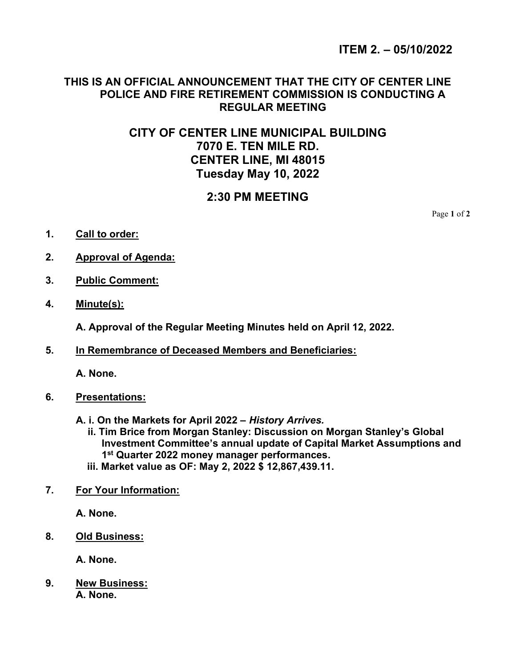## THIS IS AN OFFICIAL ANNOUNCEMENT THAT THE CITY OF CENTER LINE POLICE AND FIRE RETIREMENT COMMISSION IS CONDUCTING A REGULAR MEETING

# CITY OF CENTER LINE MUNICIPAL BUILDING 7070 E. TEN MILE RD. CENTER LINE, MI 48015 Tuesday May 10, 2022

## 2:30 PM MEETING

Page 1 of 2

- 1. Call to order:
- 2. Approval of Agenda:
- 3. Public Comment:
- 4. Minute(s):

A. Approval of the Regular Meeting Minutes held on April 12, 2022.

5. In Remembrance of Deceased Members and Beneficiaries:

A. None.

- 6. Presentations:
	- A. i. On the Markets for April 2022 History Arrives.
		- ii. Tim Brice from Morgan Stanley: Discussion on Morgan Stanley's Global Investment Committee's annual update of Capital Market Assumptions and 1<sup>st</sup> Quarter 2022 money manager performances.
		- iii. Market value as OF: May 2, 2022 \$ 12,867,439.11.
- 7. For Your Information:

A. None.

8. Old Business:

A. None.

9. New Business: A. None.